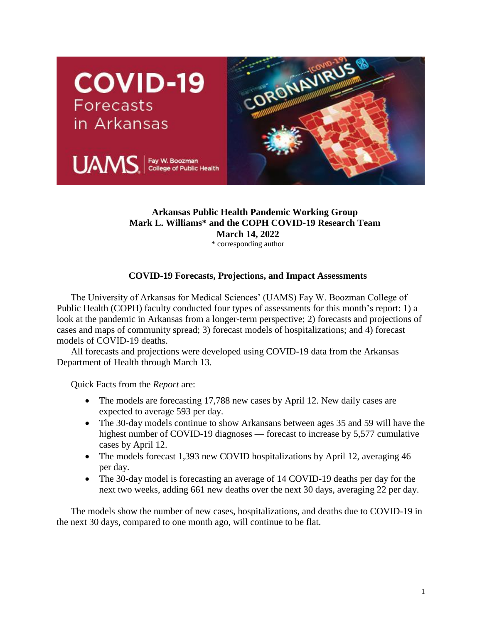

## **Arkansas Public Health Pandemic Working Group Mark L. Williams\* and the COPH COVID-19 Research Team March 14, 2022**

\* corresponding author

## **COVID-19 Forecasts, Projections, and Impact Assessments**

The University of Arkansas for Medical Sciences' (UAMS) Fay W. Boozman College of Public Health (COPH) faculty conducted four types of assessments for this month's report: 1) a look at the pandemic in Arkansas from a longer-term perspective; 2) forecasts and projections of cases and maps of community spread; 3) forecast models of hospitalizations; and 4) forecast models of COVID-19 deaths.

All forecasts and projections were developed using COVID-19 data from the Arkansas Department of Health through March 13.

Quick Facts from the *Report* are:

- The models are forecasting 17,788 new cases by April 12. New daily cases are expected to average 593 per day.
- The 30-day models continue to show Arkansans between ages 35 and 59 will have the highest number of COVID-19 diagnoses — forecast to increase by 5,577 cumulative cases by April 12.
- The models forecast 1,393 new COVID hospitalizations by April 12, averaging 46 per day.
- The 30-day model is forecasting an average of 14 COVID-19 deaths per day for the next two weeks, adding 661 new deaths over the next 30 days, averaging 22 per day.

The models show the number of new cases, hospitalizations, and deaths due to COVID-19 in the next 30 days, compared to one month ago, will continue to be flat.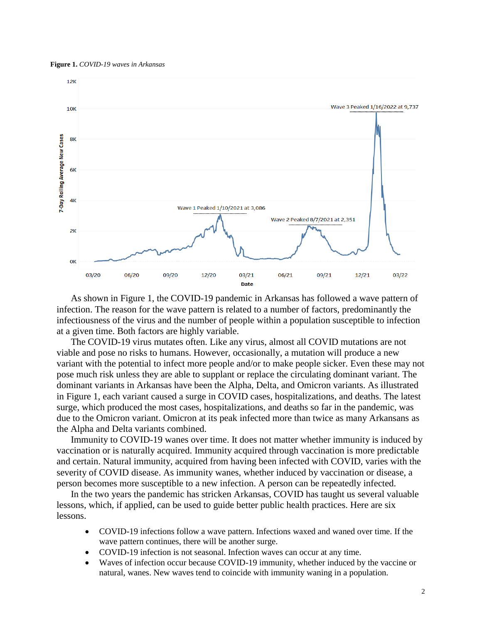**Figure 1.** *COVID-19 waves in Arkansas*



As shown in Figure 1, the COVID-19 pandemic in Arkansas has followed a wave pattern of infection. The reason for the wave pattern is related to a number of factors, predominantly the infectiousness of the virus and the number of people within a population susceptible to infection at a given time. Both factors are highly variable.

The COVID-19 virus mutates often. Like any virus, almost all COVID mutations are not viable and pose no risks to humans. However, occasionally, a mutation will produce a new variant with the potential to infect more people and/or to make people sicker. Even these may not pose much risk unless they are able to supplant or replace the circulating dominant variant. The dominant variants in Arkansas have been the Alpha, Delta, and Omicron variants. As illustrated in Figure 1, each variant caused a surge in COVID cases, hospitalizations, and deaths. The latest surge, which produced the most cases, hospitalizations, and deaths so far in the pandemic, was due to the Omicron variant. Omicron at its peak infected more than twice as many Arkansans as the Alpha and Delta variants combined.

Immunity to COVID-19 wanes over time. It does not matter whether immunity is induced by vaccination or is naturally acquired. Immunity acquired through vaccination is more predictable and certain. Natural immunity, acquired from having been infected with COVID, varies with the severity of COVID disease. As immunity wanes, whether induced by vaccination or disease, a person becomes more susceptible to a new infection. A person can be repeatedly infected.

In the two years the pandemic has stricken Arkansas, COVID has taught us several valuable lessons, which, if applied, can be used to guide better public health practices. Here are six lessons.

- COVID-19 infections follow a wave pattern. Infections waxed and waned over time. If the wave pattern continues, there will be another surge.
- COVID-19 infection is not seasonal. Infection waves can occur at any time.
- Waves of infection occur because COVID-19 immunity, whether induced by the vaccine or natural, wanes. New waves tend to coincide with immunity waning in a population.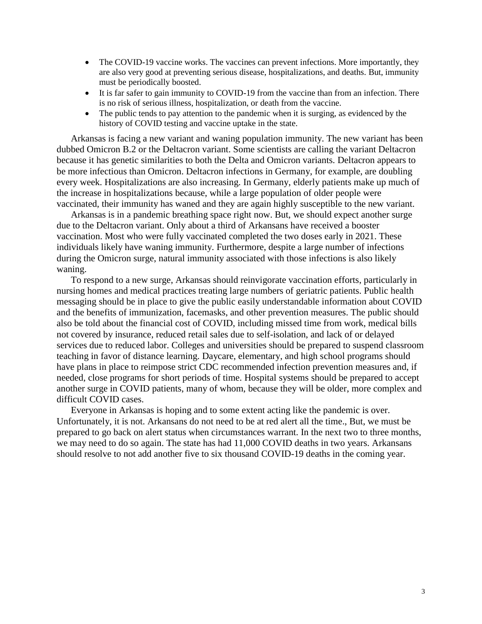- The COVID-19 vaccine works. The vaccines can prevent infections. More importantly, they are also very good at preventing serious disease, hospitalizations, and deaths. But, immunity must be periodically boosted.
- It is far safer to gain immunity to COVID-19 from the vaccine than from an infection. There is no risk of serious illness, hospitalization, or death from the vaccine.
- The public tends to pay attention to the pandemic when it is surging, as evidenced by the history of COVID testing and vaccine uptake in the state.

Arkansas is facing a new variant and waning population immunity. The new variant has been dubbed Omicron B.2 or the Deltacron variant. Some scientists are calling the variant Deltacron because it has genetic similarities to both the Delta and Omicron variants. Deltacron appears to be more infectious than Omicron. Deltacron infections in Germany, for example, are doubling every week. Hospitalizations are also increasing. In Germany, elderly patients make up much of the increase in hospitalizations because, while a large population of older people were vaccinated, their immunity has waned and they are again highly susceptible to the new variant.

Arkansas is in a pandemic breathing space right now. But, we should expect another surge due to the Deltacron variant. Only about a third of Arkansans have received a booster vaccination. Most who were fully vaccinated completed the two doses early in 2021. These individuals likely have waning immunity. Furthermore, despite a large number of infections during the Omicron surge, natural immunity associated with those infections is also likely waning.

To respond to a new surge, Arkansas should reinvigorate vaccination efforts, particularly in nursing homes and medical practices treating large numbers of geriatric patients. Public health messaging should be in place to give the public easily understandable information about COVID and the benefits of immunization, facemasks, and other prevention measures. The public should also be told about the financial cost of COVID, including missed time from work, medical bills not covered by insurance, reduced retail sales due to self-isolation, and lack of or delayed services due to reduced labor. Colleges and universities should be prepared to suspend classroom teaching in favor of distance learning. Daycare, elementary, and high school programs should have plans in place to reimpose strict CDC recommended infection prevention measures and, if needed, close programs for short periods of time. Hospital systems should be prepared to accept another surge in COVID patients, many of whom, because they will be older, more complex and difficult COVID cases.

Everyone in Arkansas is hoping and to some extent acting like the pandemic is over. Unfortunately, it is not. Arkansans do not need to be at red alert all the time., But, we must be prepared to go back on alert status when circumstances warrant. In the next two to three months, we may need to do so again. The state has had 11,000 COVID deaths in two years. Arkansans should resolve to not add another five to six thousand COVID-19 deaths in the coming year.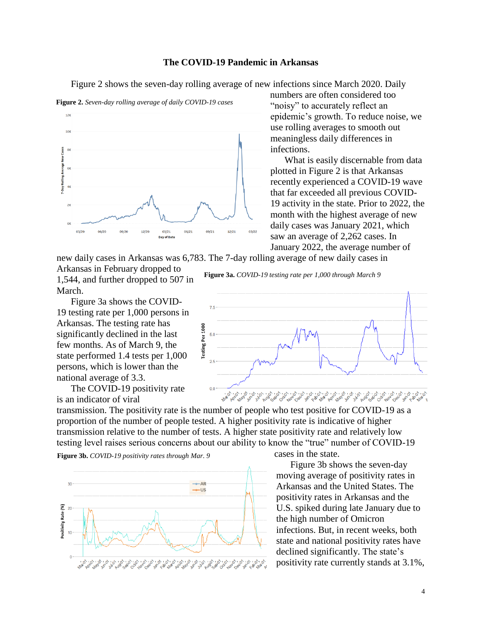## **The COVID-19 Pandemic in Arkansas**

Figure 2 shows the seven-day rolling average of new infections since March 2020. Daily



**Figure 2.** *Seven-day rolling average of daily COVID-19 cases*

numbers are often considered too "noisy" to accurately reflect an epidemic's growth. To reduce noise, we use rolling averages to smooth out meaningless daily differences in infections.

What is easily discernable from data plotted in Figure 2 is that Arkansas recently experienced a COVID-19 wave that far exceeded all previous COVID-19 activity in the state. Prior to 2022, the month with the highest average of new daily cases was January 2021, which saw an average of 2,262 cases. In January 2022, the average number of

new daily cases in Arkansas was 6,783. The 7-day rolling average of new daily cases in

 $25$ 

 $0.0$ 

Arkansas in February dropped to 1,544, and further dropped to 507 in March.

Figure 3a shows the COVID-19 testing rate per 1,000 persons in Arkansas. The testing rate has significantly declined in the last few months. As of March 9, the state performed 1.4 tests per 1,000 persons, which is lower than the national average of 3.3.

The COVID-19 positivity rate is an indicator of viral

Testing Per 1000  $50$ 



1.100 101 101 101 101 101

**Figure 3b.** *COVID-19 positivity rates through Mar. 9*



Figure 3b shows the seven-day moving average of positivity rates in Arkansas and the United States. The positivity rates in Arkansas and the U.S. spiked during late January due to the high number of Omicron infections. But, in recent weeks, both state and national positivity rates have declined significantly. The state's positivity rate currently stands at 3.1%,

**Figure 3a.** *COVID-19 testing rate per 1,000 through March 9*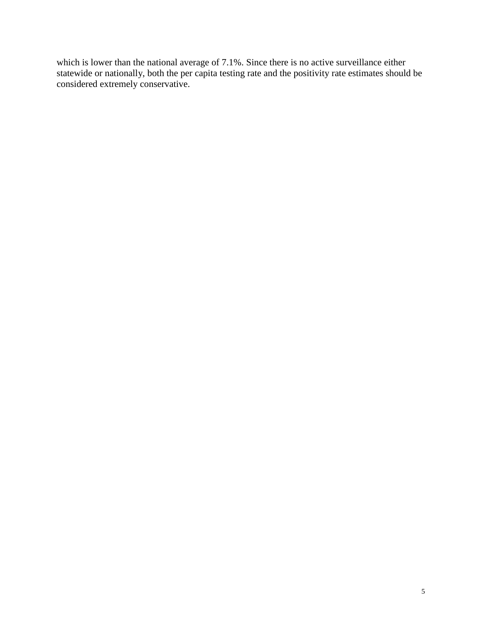which is lower than the national average of 7.1%. Since there is no active surveillance either statewide or nationally, both the per capita testing rate and the positivity rate estimates should be considered extremely conservative.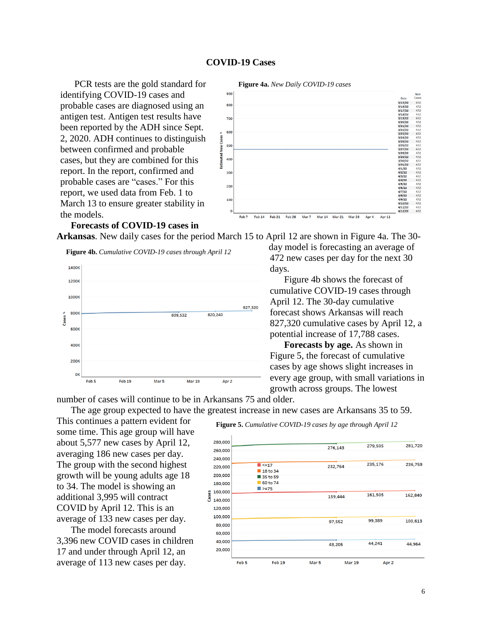#### **COVID-19 Cases**

PCR tests are the gold standard for identifying COVID-19 cases and probable cases are diagnosed using an antigen test. Antigen test results have been reported by the ADH since Sept. 2, 2020. ADH continues to distinguish between confirmed and probable cases, but they are combined for this report. In the report, confirmed and probable cases are "cases." For this report, we used data from Feb. 1 to March 13 to ensure greater stability in the models.



# **Forecasts of COVID-19 cases in**

**Arkansas**. New daily cases for the period March 15 to April 12 are shown in Figure 4a. The 30-





day model is forecasting an average of 472 new cases per day for the next 30 days.

Figure 4b shows the forecast of cumulative COVID-19 cases through April 12. The 30-day cumulative forecast shows Arkansas will reach 827,320 cumulative cases by April 12, a potential increase of 17,788 cases.

**Forecasts by age.** As shown in Figure 5, the forecast of cumulative cases by age shows slight increases in every age group, with small variations in growth across groups. The lowest

number of cases will continue to be in Arkansans 75 and older. The age group expected to have the greatest increase in new cases are Arkansans 35 to 59.

This continues a pattern evident for some time. This age group will have about 5,577 new cases by April 12, averaging 186 new cases per day. The group with the second highest growth will be young adults age 18 to 34. The model is showing an additional 3,995 will contract COVID by April 12. This is an average of 133 new cases per day.

The model forecasts around 3,396 new COVID cases in children 17 and under through April 12, an average of 113 new cases per day.

#### **Figure 5.** *Cumulative COVID-19 cases by age through April 12*

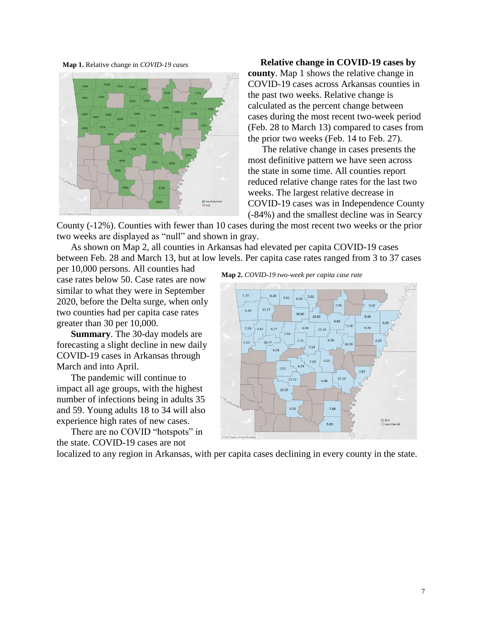**Map 1.** Relative change in *COVID-19 cases*



**Relative change in COVID-19 cases by county**. Map 1 shows the relative change in COVID-19 cases across Arkansas counties in the past two weeks. Relative change is calculated as the percent change between cases during the most recent two-week period (Feb. 28 to March 13) compared to cases from the prior two weeks (Feb. 14 to Feb. 27).

The relative change in cases presents the most definitive pattern we have seen across the state in some time. All counties report reduced relative change rates for the last two weeks. The largest relative decrease in COVID-19 cases was in Independence County (-84%) and the smallest decline was in Searcy

County (-12%). Counties with fewer than 10 cases during the most recent two weeks or the prior two weeks are displayed as "null" and shown in gray.

As shown on Map 2, all counties in Arkansas had elevated per capita COVID-19 cases between Feb. 28 and March 13, but at low levels. Per capita case rates ranged from 3 to 37 cases

per 10,000 persons. All counties had case rates below 50. Case rates are now similar to what they were in September 2020, before the Delta surge, when only two counties had per capita case rates greater than 30 per 10,000.

**Summary**. The 30-day models are forecasting a slight decline in new daily COVID-19 cases in Arkansas through March and into April.

The pandemic will continue to impact all age groups, with the highest number of infections being in adults 35 and 59. Young adults 18 to 34 will also experience high rates of new cases.

There are no COVID "hotspots" in the state. COVID-19 cases are not

**Map 2.** *COVID-19 two-week per capita case rate*



localized to any region in Arkansas, with per capita cases declining in every county in the state.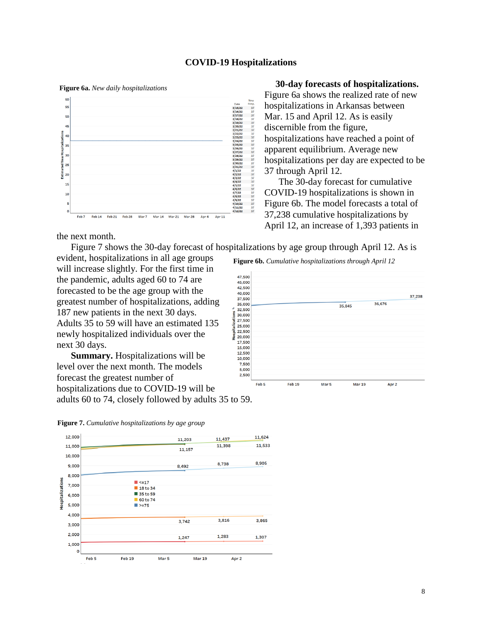### **COVID-19 Hospitalizations**

**Figure 6a.** *New daily hospitalizations*



the next month.

Figure 7 shows the 30-day forecast of hospitalizations by age group through April 12. As is

evident, hospitalizations in all age groups will increase slightly. For the first time in the pandemic, adults aged 60 to 74 are forecasted to be the age group with the greatest number of hospitalizations, adding 187 new patients in the next 30 days. Adults 35 to 59 will have an estimated 135 newly hospitalized individuals over the next 30 days.

**Summary.** Hospitalizations will be level over the next month. The models forecast the greatest number of hospitalizations due to COVID-19 will be adults 60 to 74, closely followed by adults 35 to 59.





#### **30-day forecasts of hospitalizations.**

Figure 6a shows the realized rate of new hospitalizations in Arkansas between Mar. 15 and April 12. As is easily discernible from the figure, hospitalizations have reached a point of apparent equilibrium. Average new hospitalizations per day are expected to be 37 through April 12.

The 30-day forecast for cumulative COVID-19 hospitalizations is shown in Figure 6b. The model forecasts a total of 37,238 cumulative hospitalizations by April 12, an increase of 1,393 patients in